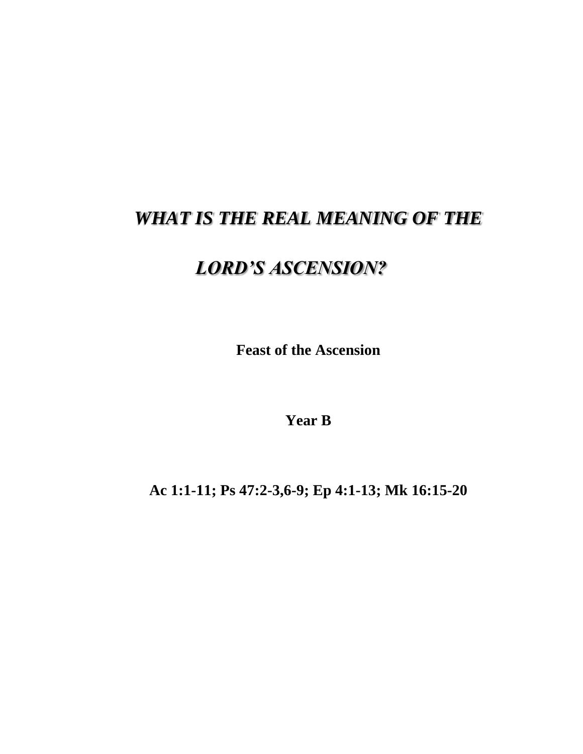## *WHAT IS THE REAL MEANING OF THE*

## *LORD'S ASCENSION?*

**Feast of the Ascension**

**Year B**

**Ac 1:1-11; Ps 47:2-3,6-9; Ep 4:1-13; Mk 16:15-20**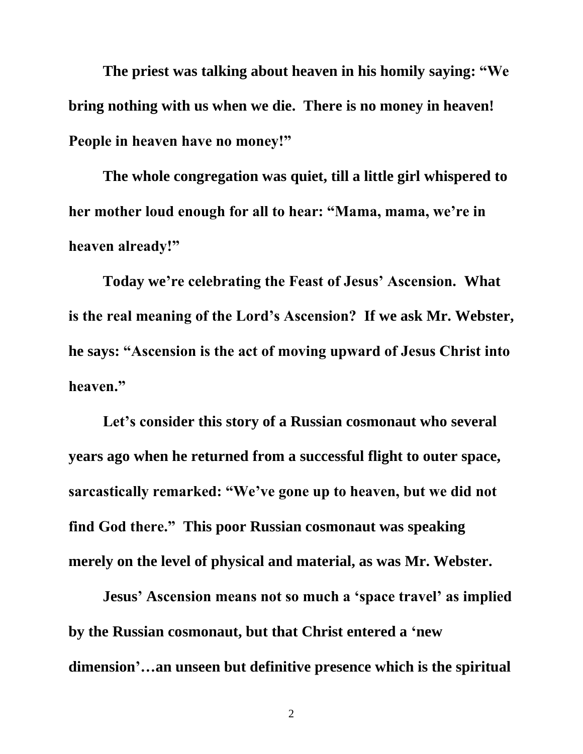**The priest was talking about heaven in his homily saying: "We bring nothing with us when we die. There is no money in heaven! People in heaven have no money!"**

**The whole congregation was quiet, till a little girl whispered to her mother loud enough for all to hear: "Mama, mama, we're in heaven already!"**

**Today we're celebrating the Feast of Jesus' Ascension. What is the real meaning of the Lord's Ascension? If we ask Mr. Webster, he says: "Ascension is the act of moving upward of Jesus Christ into heaven."**

**Let's consider this story of a Russian cosmonaut who several years ago when he returned from a successful flight to outer space, sarcastically remarked: "We've gone up to heaven, but we did not find God there." This poor Russian cosmonaut was speaking merely on the level of physical and material, as was Mr. Webster.**

**Jesus' Ascension means not so much a 'space travel' as implied by the Russian cosmonaut, but that Christ entered a 'new dimension'…an unseen but definitive presence which is the spiritual**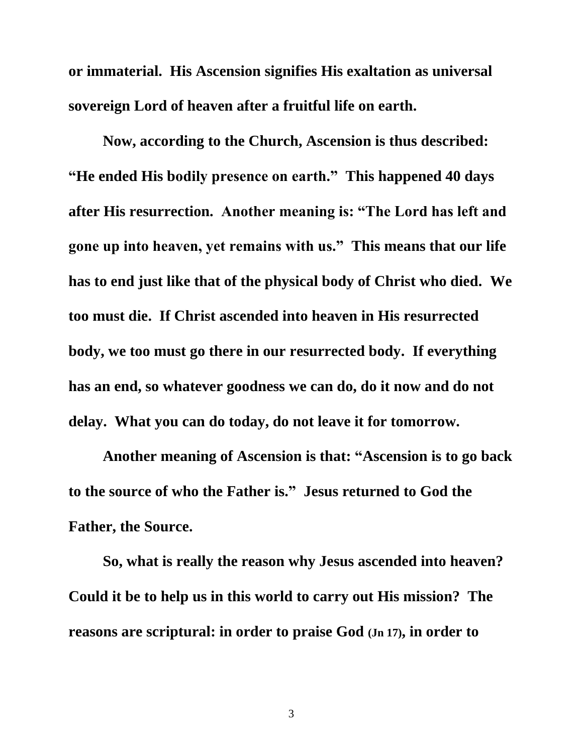**or immaterial. His Ascension signifies His exaltation as universal sovereign Lord of heaven after a fruitful life on earth.**

**Now, according to the Church, Ascension is thus described: "He ended His bodily presence on earth." This happened 40 days after His resurrection. Another meaning is: "The Lord has left and gone up into heaven, yet remains with us." This means that our life has to end just like that of the physical body of Christ who died. We too must die. If Christ ascended into heaven in His resurrected body, we too must go there in our resurrected body. If everything has an end, so whatever goodness we can do, do it now and do not delay. What you can do today, do not leave it for tomorrow.**

**Another meaning of Ascension is that: "Ascension is to go back to the source of who the Father is." Jesus returned to God the Father, the Source.**

**So, what is really the reason why Jesus ascended into heaven? Could it be to help us in this world to carry out His mission? The reasons are scriptural: in order to praise God (Jn 17), in order to**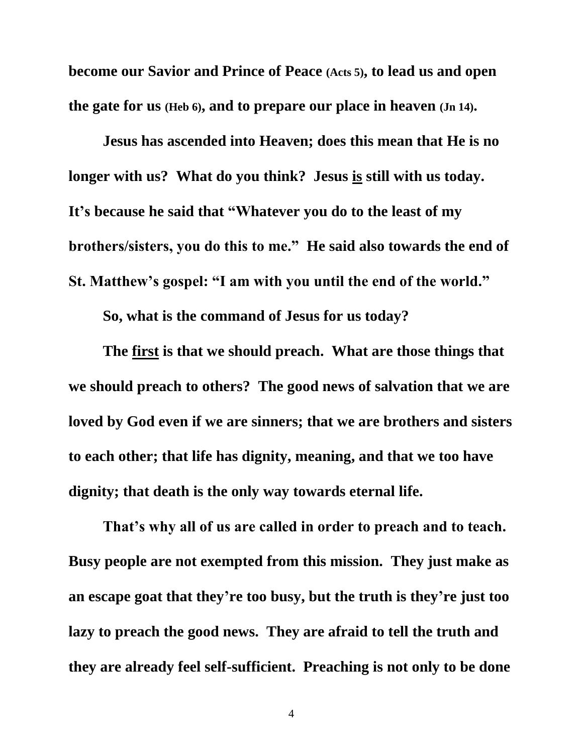**become our Savior and Prince of Peace (Acts 5), to lead us and open the gate for us (Heb 6), and to prepare our place in heaven (Jn 14).**

**Jesus has ascended into Heaven; does this mean that He is no longer with us? What do you think? Jesus is still with us today. It's because he said that "Whatever you do to the least of my brothers/sisters, you do this to me." He said also towards the end of St. Matthew's gospel: "I am with you until the end of the world."**

**So, what is the command of Jesus for us today?**

**The first is that we should preach. What are those things that we should preach to others? The good news of salvation that we are loved by God even if we are sinners; that we are brothers and sisters to each other; that life has dignity, meaning, and that we too have dignity; that death is the only way towards eternal life.**

**That's why all of us are called in order to preach and to teach. Busy people are not exempted from this mission. They just make as an escape goat that they're too busy, but the truth is they're just too lazy to preach the good news. They are afraid to tell the truth and they are already feel self-sufficient. Preaching is not only to be done**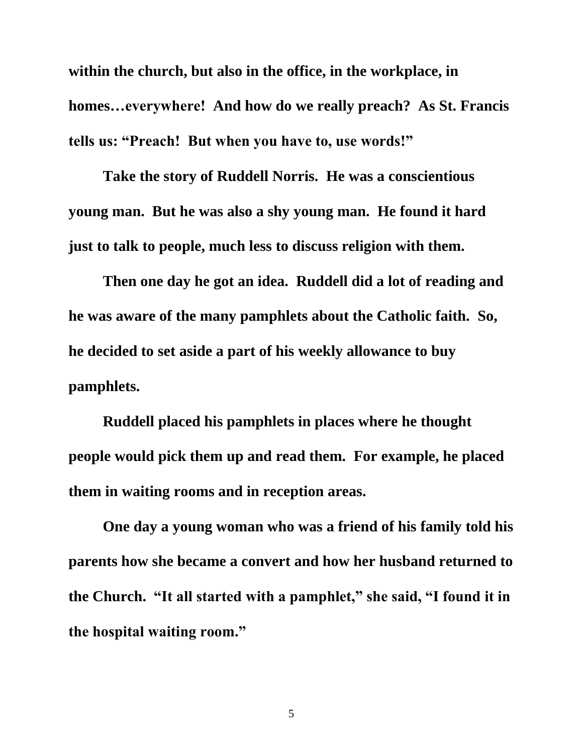**within the church, but also in the office, in the workplace, in homes…everywhere! And how do we really preach? As St. Francis tells us: "Preach! But when you have to, use words!"**

**Take the story of Ruddell Norris. He was a conscientious young man. But he was also a shy young man. He found it hard just to talk to people, much less to discuss religion with them.**

**Then one day he got an idea. Ruddell did a lot of reading and he was aware of the many pamphlets about the Catholic faith. So, he decided to set aside a part of his weekly allowance to buy pamphlets.**

**Ruddell placed his pamphlets in places where he thought people would pick them up and read them. For example, he placed them in waiting rooms and in reception areas.**

**One day a young woman who was a friend of his family told his parents how she became a convert and how her husband returned to the Church. "It all started with a pamphlet," she said, "I found it in the hospital waiting room."**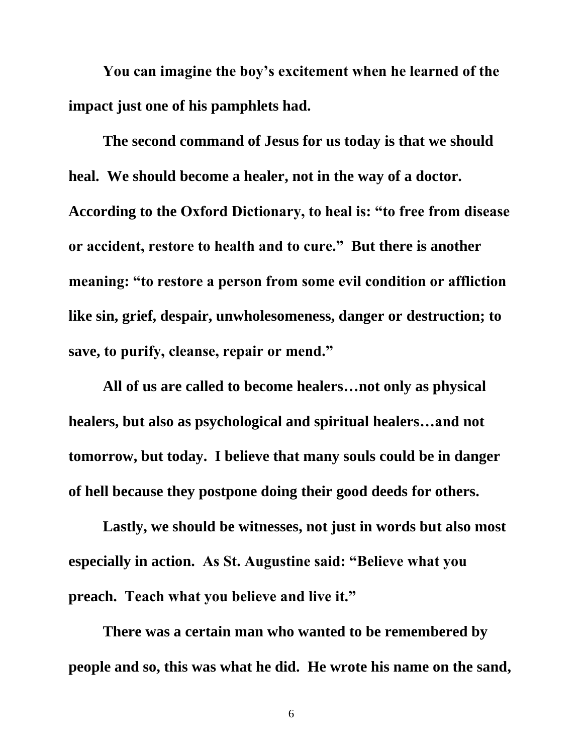**You can imagine the boy's excitement when he learned of the impact just one of his pamphlets had.**

**The second command of Jesus for us today is that we should heal. We should become a healer, not in the way of a doctor. According to the Oxford Dictionary, to heal is: "to free from disease or accident, restore to health and to cure." But there is another meaning: "to restore a person from some evil condition or affliction like sin, grief, despair, unwholesomeness, danger or destruction; to save, to purify, cleanse, repair or mend."**

**All of us are called to become healers…not only as physical healers, but also as psychological and spiritual healers…and not tomorrow, but today. I believe that many souls could be in danger of hell because they postpone doing their good deeds for others.**

**Lastly, we should be witnesses, not just in words but also most especially in action. As St. Augustine said: "Believe what you preach. Teach what you believe and live it."**

**There was a certain man who wanted to be remembered by people and so, this was what he did. He wrote his name on the sand,**